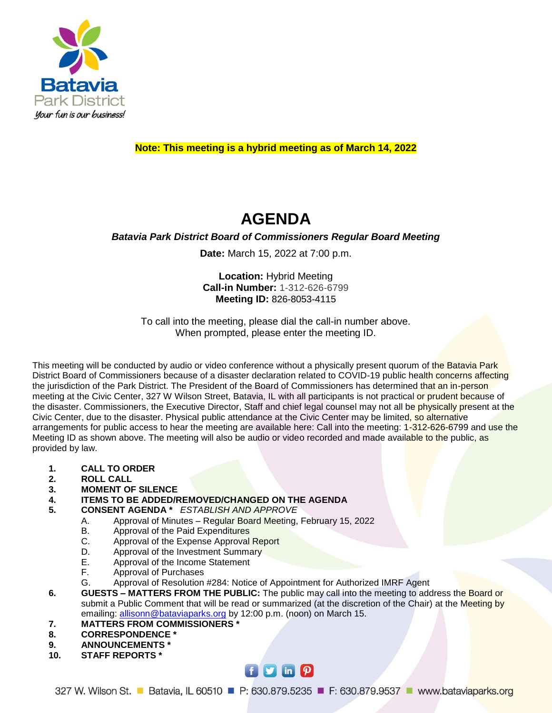

## **Note: This meeting is a hybrid meeting as of March 14, 2022**

# **AGENDA**

## *Batavia Park District Board of Commissioners Regular Board Meeting*

**Date:** March 15, 2022 at 7:00 p.m.

**Location:** Hybrid Meeting **Call-in Number:** 1-312-626-6799 **Meeting ID:** 826-8053-4115

To call into the meeting, please dial the call-in number above. When prompted, please enter the meeting ID.

This meeting will be conducted by audio or video conference without a physically present quorum of the Batavia Park District Board of Commissioners because of a disaster declaration related to COVID-19 public health concerns affecting the jurisdiction of the Park District. The President of the Board of Commissioners has determined that an in-person meeting at the Civic Center, 327 W Wilson Street, Batavia, IL with all participants is not practical or prudent because of the disaster. Commissioners, the Executive Director, Staff and chief legal counsel may not all be physically present at the Civic Center, due to the disaster. Physical public attendance at the Civic Center may be limited, so alternative arrangements for public access to hear the meeting are available here: Call into the meeting: 1-312-626-6799 and use the Meeting ID as shown above. The meeting will also be audio or video recorded and made available to the public, as provided by law.

- **1. CALL TO ORDER**
- **2. ROLL CALL**
- **3. MOMENT OF SILENCE**
- **4. ITEMS TO BE ADDED/REMOVED/CHANGED ON THE AGENDA**
- **5. CONSENT AGENDA \*** *ESTABLISH AND APPROVE*
	- A. Approval of Minutes Regular Board Meeting, February 15, 2022
	- B. Approval of the Paid Expenditures
	- C. Approval of the Expense Approval Report
	- D. Approval of the Investment Summary
	- E. Approval of the Income Statement
	- F. Approval of Purchases
	- G. Approval of Resolution #284: Notice of Appointment for Authorized IMRF Agent
- **6. GUESTS – MATTERS FROM THE PUBLIC:** The public may call into the meeting to address the Board or submit a Public Comment that will be read or summarized (at the discretion of the Chair) at the Meeting by emailing: [allisonn@bataviaparks.org](mailto:allisonn@bataviaparks.org) by 12:00 p.m. (noon) on March 15.
- **7. MATTERS FROM COMMISSIONERS \***
- **8. CORRESPONDENCE \***
- **9. ANNOUNCEMENTS \***
- **10. STAFF REPORTS \***